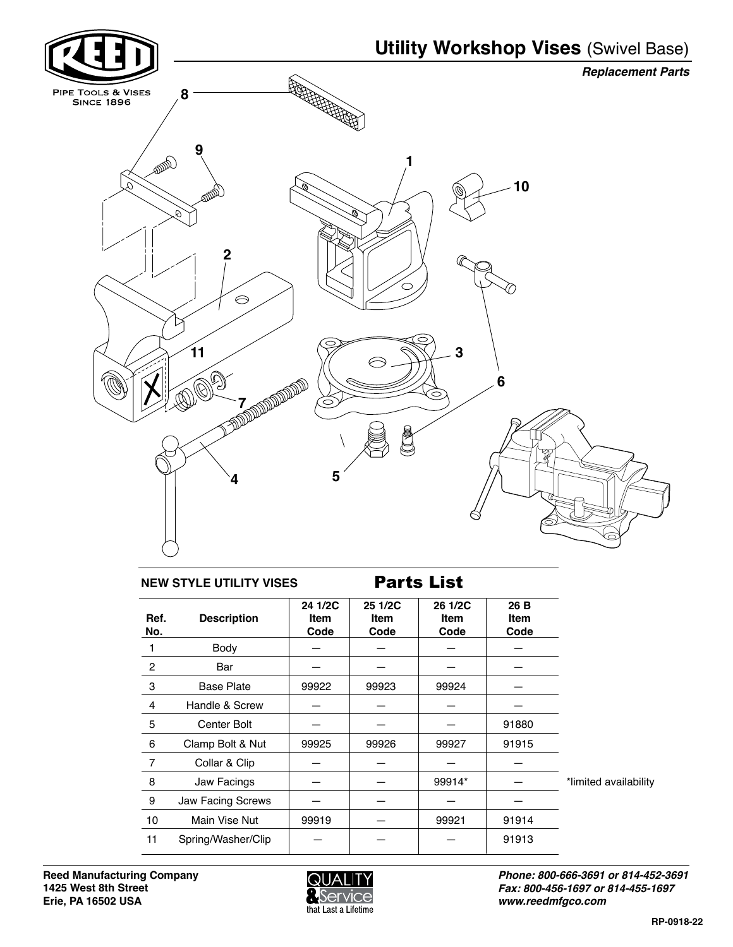

## **NEW STYLE UTILITY VISES Parts List**

| Ref.<br>No.    | <b>Description</b> | 24 1/2C<br><b>Item</b><br>Code | 25 1/2C<br>Item<br>Code | 26 1/2C<br>Item<br>Code | 26 B<br>Item<br>Code |                       |
|----------------|--------------------|--------------------------------|-------------------------|-------------------------|----------------------|-----------------------|
|                | Body               |                                |                         |                         |                      |                       |
| 2              | Bar                |                                |                         |                         |                      |                       |
| 3              | <b>Base Plate</b>  | 99922                          | 99923                   | 99924                   |                      |                       |
| $\overline{4}$ | Handle & Screw     |                                |                         |                         |                      |                       |
| 5              | <b>Center Bolt</b> |                                |                         |                         | 91880                |                       |
| 6              | Clamp Bolt & Nut   | 99925                          | 99926                   | 99927                   | 91915                |                       |
| 7              | Collar & Clip      |                                |                         |                         |                      |                       |
| 8              | Jaw Facings        |                                |                         | 99914*                  |                      | *limited availability |
| 9              | Jaw Facing Screws  |                                |                         |                         |                      |                       |
| 10             | Main Vise Nut      | 99919                          |                         | 99921                   | 91914                |                       |
| 11             | Spring/Washer/Clip |                                |                         |                         | 91913                |                       |



*Phone: 800-666-3691 or 814-452-3691 Fax: 800-456-1697 or 814-455-1697 www.reedmfgco.com*